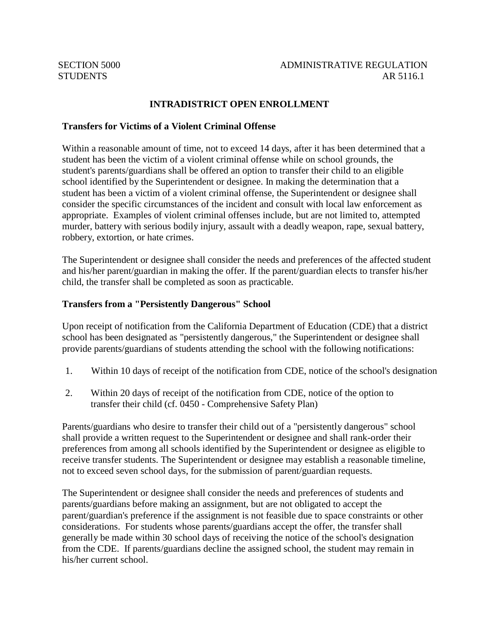## **INTRADISTRICT OPEN ENROLLMENT**

## **Transfers for Victims of a Violent Criminal Offense**

Within a reasonable amount of time, not to exceed 14 days, after it has been determined that a student has been the victim of a violent criminal offense while on school grounds, the student's parents/guardians shall be offered an option to transfer their child to an eligible school identified by the Superintendent or designee. In making the determination that a student has been a victim of a violent criminal offense, the Superintendent or designee shall consider the specific circumstances of the incident and consult with local law enforcement as appropriate. Examples of violent criminal offenses include, but are not limited to, attempted murder, battery with serious bodily injury, assault with a deadly weapon, rape, sexual battery, robbery, extortion, or hate crimes.

The Superintendent or designee shall consider the needs and preferences of the affected student and his/her parent/guardian in making the offer. If the parent/guardian elects to transfer his/her child, the transfer shall be completed as soon as practicable.

## **Transfers from a "Persistently Dangerous" School**

Upon receipt of notification from the California Department of Education (CDE) that a district school has been designated as "persistently dangerous," the Superintendent or designee shall provide parents/guardians of students attending the school with the following notifications:

- 1. Within 10 days of receipt of the notification from CDE, notice of the school's designation
- 2. Within 20 days of receipt of the notification from CDE, notice of the option to transfer their child (cf. 0450 - Comprehensive Safety Plan)

Parents/guardians who desire to transfer their child out of a "persistently dangerous" school shall provide a written request to the Superintendent or designee and shall rank-order their preferences from among all schools identified by the Superintendent or designee as eligible to receive transfer students. The Superintendent or designee may establish a reasonable timeline, not to exceed seven school days, for the submission of parent/guardian requests.

The Superintendent or designee shall consider the needs and preferences of students and parents/guardians before making an assignment, but are not obligated to accept the parent/guardian's preference if the assignment is not feasible due to space constraints or other considerations. For students whose parents/guardians accept the offer, the transfer shall generally be made within 30 school days of receiving the notice of the school's designation from the CDE. If parents/guardians decline the assigned school, the student may remain in his/her current school.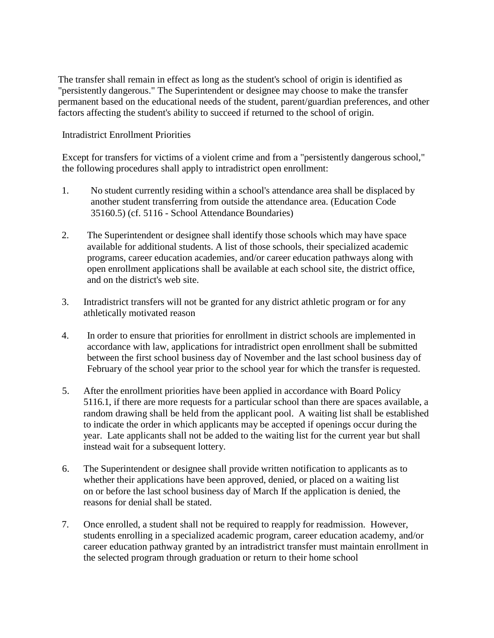The transfer shall remain in effect as long as the student's school of origin is identified as "persistently dangerous." The Superintendent or designee may choose to make the transfer permanent based on the educational needs of the student, parent/guardian preferences, and other factors affecting the student's ability to succeed if returned to the school of origin.

Intradistrict Enrollment Priorities

Except for transfers for victims of a violent crime and from a "persistently dangerous school," the following procedures shall apply to intradistrict open enrollment:

- 1. No student currently residing within a school's attendance area shall be displaced by another student transferring from outside the attendance area. (Education Code 35160.5) (cf. 5116 - School Attendance Boundaries)
- 2. The Superintendent or designee shall identify those schools which may have space available for additional students. A list of those schools, their specialized academic programs, career education academies, and/or career education pathways along with open enrollment applications shall be available at each school site, the district office, and on the district's web site.
- 3. Intradistrict transfers will not be granted for any district athletic program or for any athletically motivated reason
- 4. In order to ensure that priorities for enrollment in district schools are implemented in accordance with law, applications for intradistrict open enrollment shall be submitted between the first school business day of November and the last school business day of February of the school year prior to the school year for which the transfer is requested.
- 5. After the enrollment priorities have been applied in accordance with Board Policy 5116.1, if there are more requests for a particular school than there are spaces available, a random drawing shall be held from the applicant pool. A waiting list shall be established to indicate the order in which applicants may be accepted if openings occur during the year. Late applicants shall not be added to the waiting list for the current year but shall instead wait for a subsequent lottery.
- 6. The Superintendent or designee shall provide written notification to applicants as to whether their applications have been approved, denied, or placed on a waiting list on or before the last school business day of March If the application is denied, the reasons for denial shall be stated.
- 7. Once enrolled, a student shall not be required to reapply for readmission. However, students enrolling in a specialized academic program, career education academy, and/or career education pathway granted by an intradistrict transfer must maintain enrollment in the selected program through graduation or return to their home school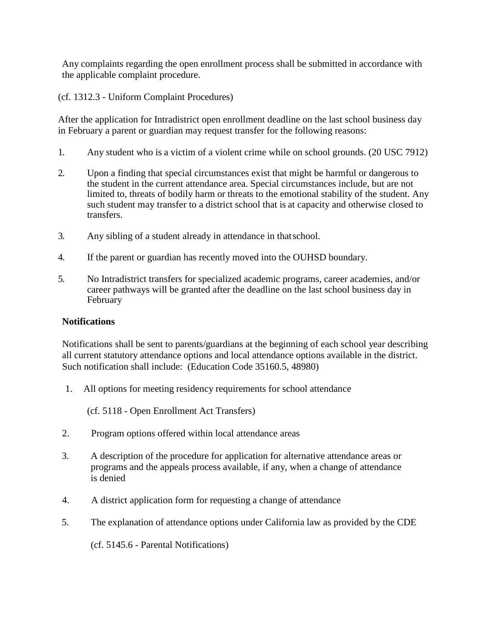Any complaints regarding the open enrollment process shall be submitted in accordance with the applicable complaint procedure.

(cf. 1312.3 - Uniform Complaint Procedures)

After the application for Intradistrict open enrollment deadline on the last school business day in February a parent or guardian may request transfer for the following reasons:

- 1. Any student who is a victim of a violent crime while on school grounds. (20 USC 7912)
- 2. Upon a finding that special circumstances exist that might be harmful or dangerous to the student in the current attendance area. Special circumstances include, but are not limited to, threats of bodily harm or threats to the emotional stability of the student. Any such student may transfer to a district school that is at capacity and otherwise closed to transfers.
- 3. Any sibling of a student already in attendance in thatschool.
- 4. If the parent or guardian has recently moved into the OUHSD boundary.
- 5. No Intradistrict transfers for specialized academic programs, career academies, and/or career pathways will be granted after the deadline on the last school business day in February

## **Notifications**

Notifications shall be sent to parents/guardians at the beginning of each school year describing all current statutory attendance options and local attendance options available in the district. Such notification shall include: (Education Code 35160.5, 48980)

1. All options for meeting residency requirements for school attendance

(cf. 5118 - Open Enrollment Act Transfers)

- 2. Program options offered within local attendance areas
- 3. A description of the procedure for application for alternative attendance areas or programs and the appeals process available, if any, when a change of attendance is denied
- 4. A district application form for requesting a change of attendance
- 5. The explanation of attendance options under California law as provided by the CDE

(cf. 5145.6 - Parental Notifications)